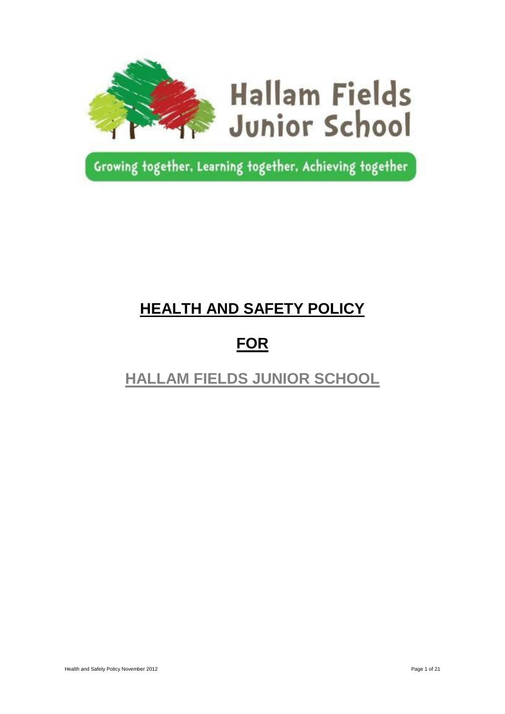

Growing together, Learning together, Achieving together

# **HEALTH AND SAFETY POLICY**

# **FOR**

# **HALLAM FIELDS JUNIOR SCHOOL**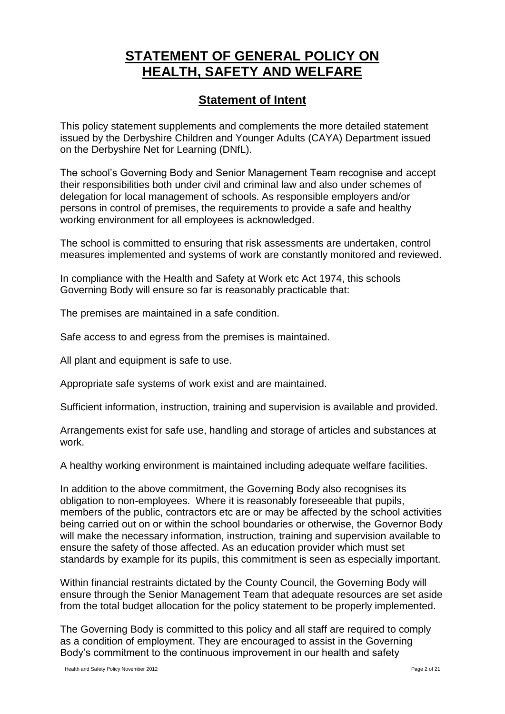# **STATEMENT OF GENERAL POLICY ON HEALTH, SAFETY AND WELFARE**

# **Statement of Intent**

This policy statement supplements and complements the more detailed statement issued by the Derbyshire Children and Younger Adults (CAYA) Department issued on the Derbyshire Net for Learning (DNfL).

The school's Governing Body and Senior Management Team recognise and accept their responsibilities both under civil and criminal law and also under schemes of delegation for local management of schools. As responsible employers and/or persons in control of premises, the requirements to provide a safe and healthy working environment for all employees is acknowledged.

The school is committed to ensuring that risk assessments are undertaken, control measures implemented and systems of work are constantly monitored and reviewed.

In compliance with the Health and Safety at Work etc Act 1974, this schools Governing Body will ensure so far is reasonably practicable that:

The premises are maintained in a safe condition.

Safe access to and egress from the premises is maintained.

All plant and equipment is safe to use.

Appropriate safe systems of work exist and are maintained.

Sufficient information, instruction, training and supervision is available and provided.

Arrangements exist for safe use, handling and storage of articles and substances at work.

A healthy working environment is maintained including adequate welfare facilities.

In addition to the above commitment, the Governing Body also recognises its obligation to non-employees. Where it is reasonably foreseeable that pupils, members of the public, contractors etc are or may be affected by the school activities being carried out on or within the school boundaries or otherwise, the Governor Body will make the necessary information, instruction, training and supervision available to ensure the safety of those affected. As an education provider which must set standards by example for its pupils, this commitment is seen as especially important.

Within financial restraints dictated by the County Council, the Governing Body will ensure through the Senior Management Team that adequate resources are set aside from the total budget allocation for the policy statement to be properly implemented.

The Governing Body is committed to this policy and all staff are required to comply as a condition of employment. They are encouraged to assist in the Governing Body's commitment to the continuous improvement in our health and safety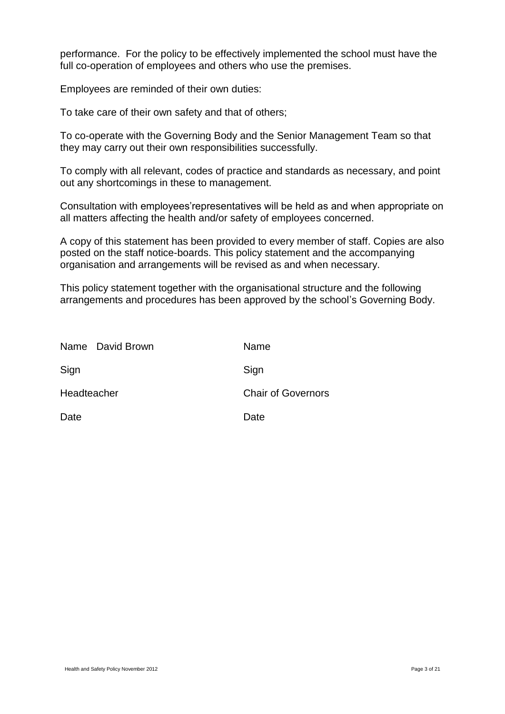performance. For the policy to be effectively implemented the school must have the full co-operation of employees and others who use the premises.

Employees are reminded of their own duties:

To take care of their own safety and that of others;

To co-operate with the Governing Body and the Senior Management Team so that they may carry out their own responsibilities successfully.

To comply with all relevant, codes of practice and standards as necessary, and point out any shortcomings in these to management.

Consultation with employees'representatives will be held as and when appropriate on all matters affecting the health and/or safety of employees concerned.

A copy of this statement has been provided to every member of staff. Copies are also posted on the staff notice-boards. This policy statement and the accompanying organisation and arrangements will be revised as and when necessary.

This policy statement together with the organisational structure and the following arrangements and procedures has been approved by the school's Governing Body.

| Name David Brown | Name                      |
|------------------|---------------------------|
| Sign             | Sign                      |
| Headteacher      | <b>Chair of Governors</b> |
| Date             | Date                      |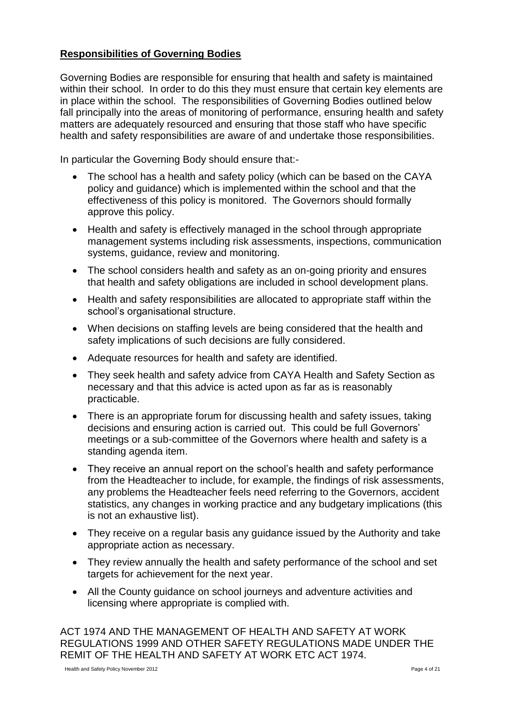### **Responsibilities of Governing Bodies**

Governing Bodies are responsible for ensuring that health and safety is maintained within their school. In order to do this they must ensure that certain key elements are in place within the school. The responsibilities of Governing Bodies outlined below fall principally into the areas of monitoring of performance, ensuring health and safety matters are adequately resourced and ensuring that those staff who have specific health and safety responsibilities are aware of and undertake those responsibilities.

In particular the Governing Body should ensure that:-

- The school has a health and safety policy (which can be based on the CAYA policy and guidance) which is implemented within the school and that the effectiveness of this policy is monitored. The Governors should formally approve this policy.
- Health and safety is effectively managed in the school through appropriate management systems including risk assessments, inspections, communication systems, guidance, review and monitoring.
- The school considers health and safety as an on-going priority and ensures that health and safety obligations are included in school development plans.
- Health and safety responsibilities are allocated to appropriate staff within the school's organisational structure.
- When decisions on staffing levels are being considered that the health and safety implications of such decisions are fully considered.
- Adequate resources for health and safety are identified.
- They seek health and safety advice from CAYA Health and Safety Section as necessary and that this advice is acted upon as far as is reasonably practicable.
- There is an appropriate forum for discussing health and safety issues, taking decisions and ensuring action is carried out. This could be full Governors' meetings or a sub-committee of the Governors where health and safety is a standing agenda item.
- They receive an annual report on the school's health and safety performance from the Headteacher to include, for example, the findings of risk assessments, any problems the Headteacher feels need referring to the Governors, accident statistics, any changes in working practice and any budgetary implications (this is not an exhaustive list).
- They receive on a regular basis any guidance issued by the Authority and take appropriate action as necessary.
- They review annually the health and safety performance of the school and set targets for achievement for the next year.
- All the County guidance on school journeys and adventure activities and licensing where appropriate is complied with.

ACT 1974 AND THE MANAGEMENT OF HEALTH AND SAFETY AT WORK REGULATIONS 1999 AND OTHER SAFETY REGULATIONS MADE UNDER THE REMIT OF THE HEALTH AND SAFETY AT WORK ETC ACT 1974.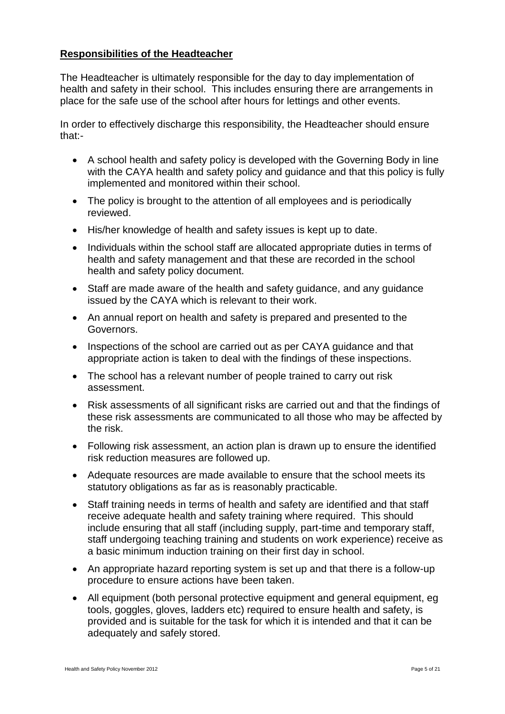#### **Responsibilities of the Headteacher**

The Headteacher is ultimately responsible for the day to day implementation of health and safety in their school. This includes ensuring there are arrangements in place for the safe use of the school after hours for lettings and other events.

In order to effectively discharge this responsibility, the Headteacher should ensure that:-

- A school health and safety policy is developed with the Governing Body in line with the CAYA health and safety policy and guidance and that this policy is fully implemented and monitored within their school.
- The policy is brought to the attention of all employees and is periodically reviewed.
- His/her knowledge of health and safety issues is kept up to date.
- Individuals within the school staff are allocated appropriate duties in terms of health and safety management and that these are recorded in the school health and safety policy document.
- Staff are made aware of the health and safety guidance, and any guidance issued by the CAYA which is relevant to their work.
- An annual report on health and safety is prepared and presented to the Governors.
- Inspections of the school are carried out as per CAYA quidance and that appropriate action is taken to deal with the findings of these inspections.
- The school has a relevant number of people trained to carry out risk assessment.
- Risk assessments of all significant risks are carried out and that the findings of these risk assessments are communicated to all those who may be affected by the risk.
- Following risk assessment, an action plan is drawn up to ensure the identified risk reduction measures are followed up.
- Adequate resources are made available to ensure that the school meets its statutory obligations as far as is reasonably practicable.
- Staff training needs in terms of health and safety are identified and that staff receive adequate health and safety training where required. This should include ensuring that all staff (including supply, part-time and temporary staff, staff undergoing teaching training and students on work experience) receive as a basic minimum induction training on their first day in school.
- An appropriate hazard reporting system is set up and that there is a follow-up procedure to ensure actions have been taken.
- All equipment (both personal protective equipment and general equipment, eg tools, goggles, gloves, ladders etc) required to ensure health and safety, is provided and is suitable for the task for which it is intended and that it can be adequately and safely stored.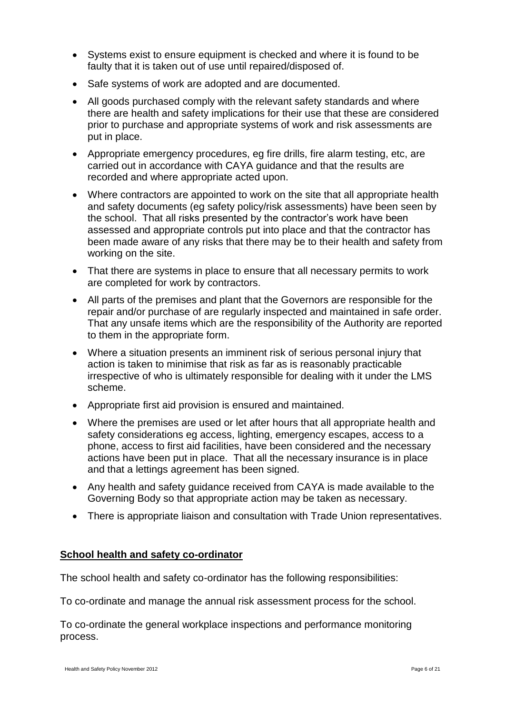- Systems exist to ensure equipment is checked and where it is found to be faulty that it is taken out of use until repaired/disposed of.
- Safe systems of work are adopted and are documented.
- All goods purchased comply with the relevant safety standards and where there are health and safety implications for their use that these are considered prior to purchase and appropriate systems of work and risk assessments are put in place.
- Appropriate emergency procedures, eg fire drills, fire alarm testing, etc, are carried out in accordance with CAYA guidance and that the results are recorded and where appropriate acted upon.
- Where contractors are appointed to work on the site that all appropriate health and safety documents (eg safety policy/risk assessments) have been seen by the school. That all risks presented by the contractor's work have been assessed and appropriate controls put into place and that the contractor has been made aware of any risks that there may be to their health and safety from working on the site.
- That there are systems in place to ensure that all necessary permits to work are completed for work by contractors.
- All parts of the premises and plant that the Governors are responsible for the repair and/or purchase of are regularly inspected and maintained in safe order. That any unsafe items which are the responsibility of the Authority are reported to them in the appropriate form.
- Where a situation presents an imminent risk of serious personal injury that action is taken to minimise that risk as far as is reasonably practicable irrespective of who is ultimately responsible for dealing with it under the LMS scheme.
- Appropriate first aid provision is ensured and maintained.
- Where the premises are used or let after hours that all appropriate health and safety considerations eg access, lighting, emergency escapes, access to a phone, access to first aid facilities, have been considered and the necessary actions have been put in place. That all the necessary insurance is in place and that a lettings agreement has been signed.
- Any health and safety guidance received from CAYA is made available to the Governing Body so that appropriate action may be taken as necessary.
- There is appropriate liaison and consultation with Trade Union representatives.

#### **School health and safety co-ordinator**

The school health and safety co-ordinator has the following responsibilities:

To co-ordinate and manage the annual risk assessment process for the school.

To co-ordinate the general workplace inspections and performance monitoring process.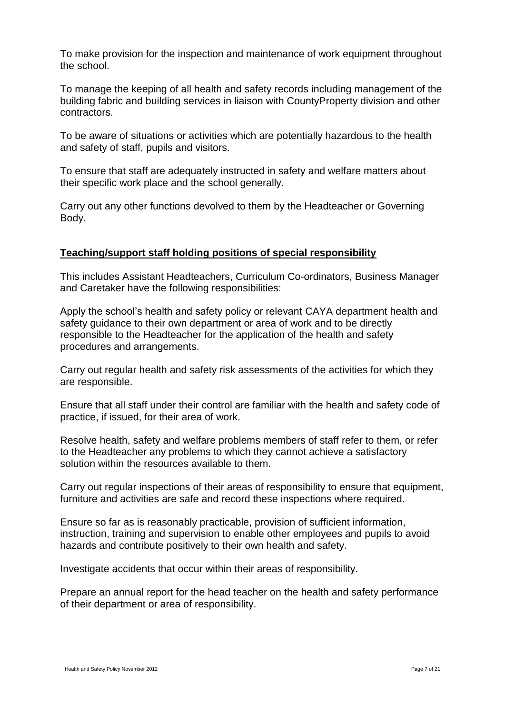To make provision for the inspection and maintenance of work equipment throughout the school.

To manage the keeping of all health and safety records including management of the building fabric and building services in liaison with CountyProperty division and other contractors.

To be aware of situations or activities which are potentially hazardous to the health and safety of staff, pupils and visitors.

To ensure that staff are adequately instructed in safety and welfare matters about their specific work place and the school generally.

Carry out any other functions devolved to them by the Headteacher or Governing Body.

#### **Teaching/support staff holding positions of special responsibility**

This includes Assistant Headteachers, Curriculum Co-ordinators, Business Manager and Caretaker have the following responsibilities:

Apply the school's health and safety policy or relevant CAYA department health and safety guidance to their own department or area of work and to be directly responsible to the Headteacher for the application of the health and safety procedures and arrangements.

Carry out regular health and safety risk assessments of the activities for which they are responsible.

Ensure that all staff under their control are familiar with the health and safety code of practice, if issued, for their area of work.

Resolve health, safety and welfare problems members of staff refer to them, or refer to the Headteacher any problems to which they cannot achieve a satisfactory solution within the resources available to them.

Carry out regular inspections of their areas of responsibility to ensure that equipment, furniture and activities are safe and record these inspections where required.

Ensure so far as is reasonably practicable, provision of sufficient information, instruction, training and supervision to enable other employees and pupils to avoid hazards and contribute positively to their own health and safety.

Investigate accidents that occur within their areas of responsibility.

Prepare an annual report for the head teacher on the health and safety performance of their department or area of responsibility.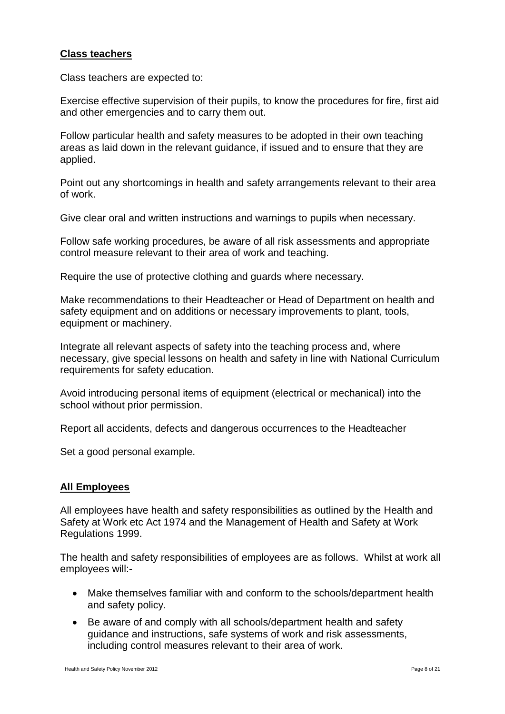#### **Class teachers**

Class teachers are expected to:

Exercise effective supervision of their pupils, to know the procedures for fire, first aid and other emergencies and to carry them out.

Follow particular health and safety measures to be adopted in their own teaching areas as laid down in the relevant guidance, if issued and to ensure that they are applied.

Point out any shortcomings in health and safety arrangements relevant to their area of work.

Give clear oral and written instructions and warnings to pupils when necessary.

Follow safe working procedures, be aware of all risk assessments and appropriate control measure relevant to their area of work and teaching.

Require the use of protective clothing and guards where necessary.

Make recommendations to their Headteacher or Head of Department on health and safety equipment and on additions or necessary improvements to plant, tools, equipment or machinery.

Integrate all relevant aspects of safety into the teaching process and, where necessary, give special lessons on health and safety in line with National Curriculum requirements for safety education.

Avoid introducing personal items of equipment (electrical or mechanical) into the school without prior permission.

Report all accidents, defects and dangerous occurrences to the Headteacher

Set a good personal example.

#### **All Employees**

All employees have health and safety responsibilities as outlined by the Health and Safety at Work etc Act 1974 and the Management of Health and Safety at Work Regulations 1999.

The health and safety responsibilities of employees are as follows. Whilst at work all employees will:-

- Make themselves familiar with and conform to the schools/department health and safety policy.
- Be aware of and comply with all schools/department health and safety guidance and instructions, safe systems of work and risk assessments, including control measures relevant to their area of work.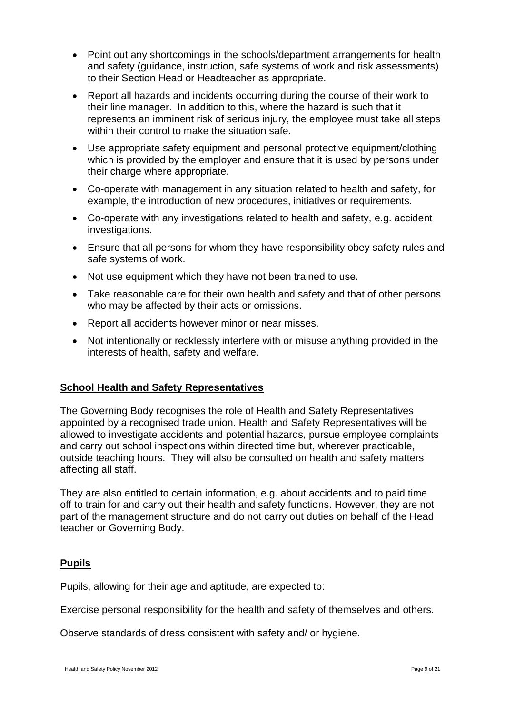- Point out any shortcomings in the schools/department arrangements for health and safety (guidance, instruction, safe systems of work and risk assessments) to their Section Head or Headteacher as appropriate.
- Report all hazards and incidents occurring during the course of their work to their line manager. In addition to this, where the hazard is such that it represents an imminent risk of serious injury, the employee must take all steps within their control to make the situation safe.
- Use appropriate safety equipment and personal protective equipment/clothing which is provided by the employer and ensure that it is used by persons under their charge where appropriate.
- Co-operate with management in any situation related to health and safety, for example, the introduction of new procedures, initiatives or requirements.
- Co-operate with any investigations related to health and safety, e.g. accident investigations.
- Ensure that all persons for whom they have responsibility obey safety rules and safe systems of work.
- Not use equipment which they have not been trained to use.
- Take reasonable care for their own health and safety and that of other persons who may be affected by their acts or omissions.
- Report all accidents however minor or near misses.
- Not intentionally or recklessly interfere with or misuse anything provided in the interests of health, safety and welfare.

#### **School Health and Safety Representatives**

The Governing Body recognises the role of Health and Safety Representatives appointed by a recognised trade union. Health and Safety Representatives will be allowed to investigate accidents and potential hazards, pursue employee complaints and carry out school inspections within directed time but, wherever practicable, outside teaching hours. They will also be consulted on health and safety matters affecting all staff.

They are also entitled to certain information, e.g. about accidents and to paid time off to train for and carry out their health and safety functions. However, they are not part of the management structure and do not carry out duties on behalf of the Head teacher or Governing Body.

#### **Pupils**

Pupils, allowing for their age and aptitude, are expected to:

Exercise personal responsibility for the health and safety of themselves and others.

Observe standards of dress consistent with safety and/ or hygiene.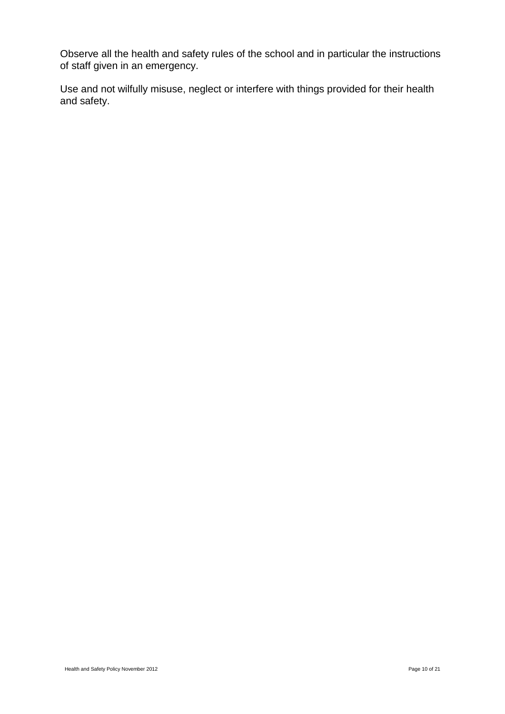Observe all the health and safety rules of the school and in particular the instructions of staff given in an emergency.

Use and not wilfully misuse, neglect or interfere with things provided for their health and safety.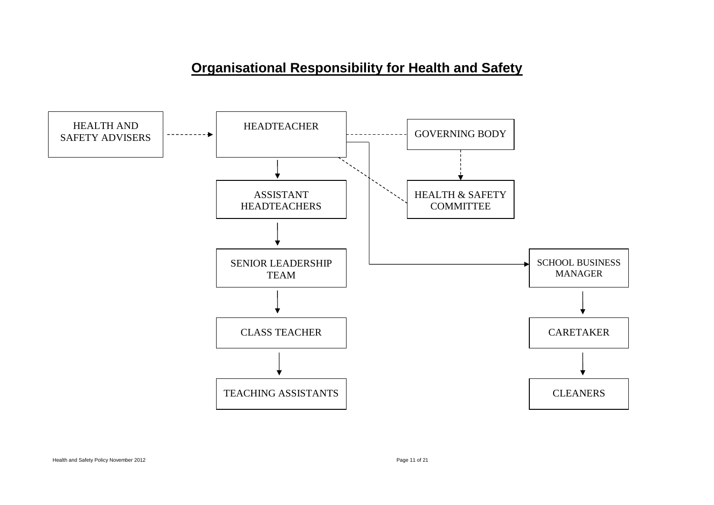# **Organisational Responsibility for Health and Safety**

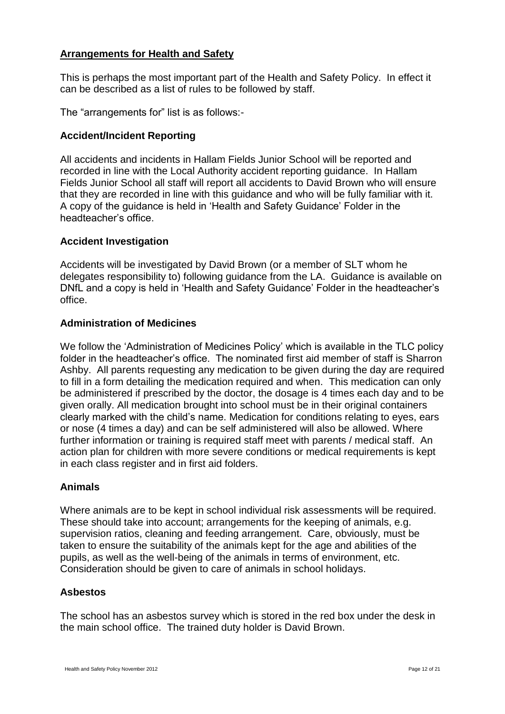### **Arrangements for Health and Safety**

This is perhaps the most important part of the Health and Safety Policy. In effect it can be described as a list of rules to be followed by staff.

The "arrangements for" list is as follows:-

#### **Accident/Incident Reporting**

All accidents and incidents in Hallam Fields Junior School will be reported and recorded in line with the Local Authority accident reporting guidance. In Hallam Fields Junior School all staff will report all accidents to David Brown who will ensure that they are recorded in line with this guidance and who will be fully familiar with it. A copy of the guidance is held in 'Health and Safety Guidance' Folder in the headteacher's office.

#### **Accident Investigation**

Accidents will be investigated by David Brown (or a member of SLT whom he delegates responsibility to) following guidance from the LA. Guidance is available on DNfL and a copy is held in 'Health and Safety Guidance' Folder in the headteacher's office.

#### **Administration of Medicines**

We follow the 'Administration of Medicines Policy' which is available in the TLC policy folder in the headteacher's office. The nominated first aid member of staff is Sharron Ashby. All parents requesting any medication to be given during the day are required to fill in a form detailing the medication required and when. This medication can only be administered if prescribed by the doctor, the dosage is 4 times each day and to be given orally. All medication brought into school must be in their original containers clearly marked with the child's name. Medication for conditions relating to eyes, ears or nose (4 times a day) and can be self administered will also be allowed. Where further information or training is required staff meet with parents / medical staff. An action plan for children with more severe conditions or medical requirements is kept in each class register and in first aid folders.

#### **Animals**

Where animals are to be kept in school individual risk assessments will be required. These should take into account; arrangements for the keeping of animals, e.g. supervision ratios, cleaning and feeding arrangement. Care, obviously, must be taken to ensure the suitability of the animals kept for the age and abilities of the pupils, as well as the well-being of the animals in terms of environment, etc. Consideration should be given to care of animals in school holidays.

#### **Asbestos**

The school has an asbestos survey which is stored in the red box under the desk in the main school office. The trained duty holder is David Brown.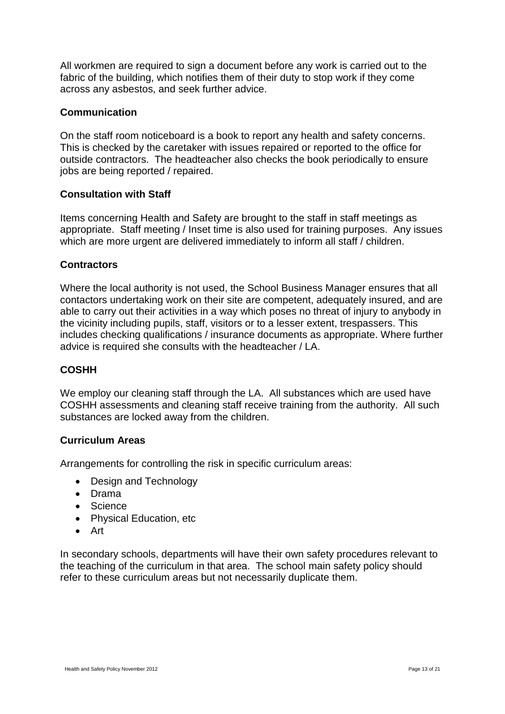All workmen are required to sign a document before any work is carried out to the fabric of the building, which notifies them of their duty to stop work if they come across any asbestos, and seek further advice.

### **Communication**

On the staff room noticeboard is a book to report any health and safety concerns. This is checked by the caretaker with issues repaired or reported to the office for outside contractors. The headteacher also checks the book periodically to ensure jobs are being reported / repaired.

#### **Consultation with Staff**

Items concerning Health and Safety are brought to the staff in staff meetings as appropriate. Staff meeting / Inset time is also used for training purposes. Any issues which are more urgent are delivered immediately to inform all staff / children.

#### **Contractors**

Where the local authority is not used, the School Business Manager ensures that all contactors undertaking work on their site are competent, adequately insured, and are able to carry out their activities in a way which poses no threat of injury to anybody in the vicinity including pupils, staff, visitors or to a lesser extent, trespassers. This includes checking qualifications / insurance documents as appropriate. Where further advice is required she consults with the headteacher / LA.

#### **COSHH**

We employ our cleaning staff through the LA. All substances which are used have COSHH assessments and cleaning staff receive training from the authority. All such substances are locked away from the children.

#### **Curriculum Areas**

Arrangements for controlling the risk in specific curriculum areas:

- Design and Technology
- Drama
- Science
- Physical Education, etc
- Art

In secondary schools, departments will have their own safety procedures relevant to the teaching of the curriculum in that area. The school main safety policy should refer to these curriculum areas but not necessarily duplicate them.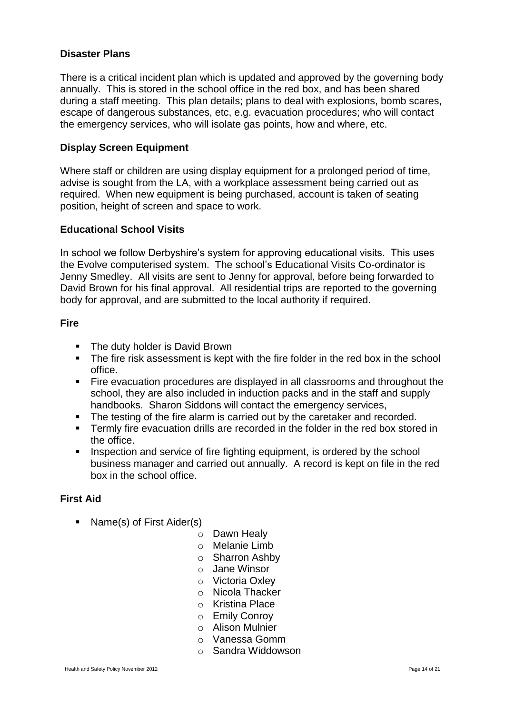#### **Disaster Plans**

There is a critical incident plan which is updated and approved by the governing body annually. This is stored in the school office in the red box, and has been shared during a staff meeting. This plan details; plans to deal with explosions, bomb scares, escape of dangerous substances, etc, e.g. evacuation procedures; who will contact the emergency services, who will isolate gas points, how and where, etc.

#### **Display Screen Equipment**

Where staff or children are using display equipment for a prolonged period of time, advise is sought from the LA, with a workplace assessment being carried out as required. When new equipment is being purchased, account is taken of seating position, height of screen and space to work.

#### **Educational School Visits**

In school we follow Derbyshire's system for approving educational visits. This uses the Evolve computerised system. The school's Educational Visits Co-ordinator is Jenny Smedley. All visits are sent to Jenny for approval, before being forwarded to David Brown for his final approval. All residential trips are reported to the governing body for approval, and are submitted to the local authority if required.

#### **Fire**

- The duty holder is David Brown
- The fire risk assessment is kept with the fire folder in the red box in the school office.
- Fire evacuation procedures are displayed in all classrooms and throughout the school, they are also included in induction packs and in the staff and supply handbooks. Sharon Siddons will contact the emergency services,
- The testing of the fire alarm is carried out by the caretaker and recorded.
- Termly fire evacuation drills are recorded in the folder in the red box stored in the office.
- Inspection and service of fire fighting equipment, is ordered by the school business manager and carried out annually. A record is kept on file in the red box in the school office.

#### **First Aid**

- Name(s) of First Aider(s)
	- o Dawn Healy
	- o Melanie Limb
	- o Sharron Ashby
	- o Jane Winsor
	- o Victoria Oxley
	- o Nicola Thacker
	- o Kristina Place
	- o Emily Conroy
	- o Alison Mulnier
	- o Vanessa Gomm
	- o Sandra Widdowson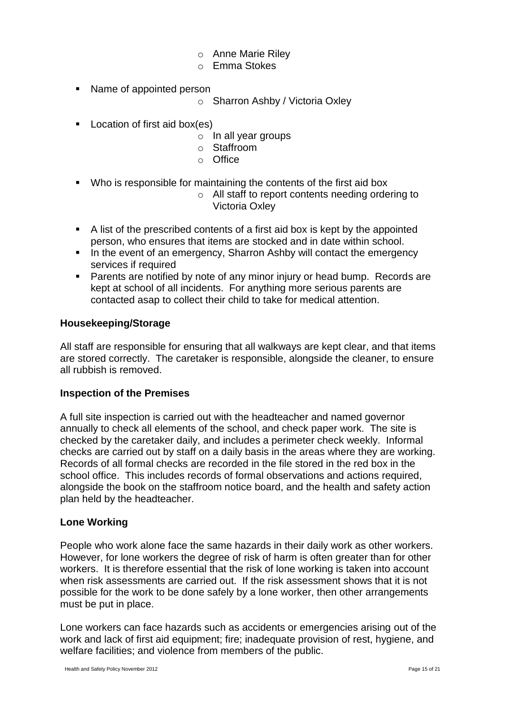- o Anne Marie Riley
- o Emma Stokes
- Name of appointed person
	- o Sharron Ashby / Victoria Oxley
- **Location of first aid box(es)** 
	- o In all year groups
	- o Staffroom
	- o Office
- Who is responsible for maintaining the contents of the first aid box
	- o All staff to report contents needing ordering to Victoria Oxley
- A list of the prescribed contents of a first aid box is kept by the appointed person, who ensures that items are stocked and in date within school.
- In the event of an emergency, Sharron Ashby will contact the emergency services if required
- **Parents are notified by note of any minor injury or head bump. Records are** kept at school of all incidents. For anything more serious parents are contacted asap to collect their child to take for medical attention.

#### **Housekeeping/Storage**

All staff are responsible for ensuring that all walkways are kept clear, and that items are stored correctly. The caretaker is responsible, alongside the cleaner, to ensure all rubbish is removed.

#### **Inspection of the Premises**

A full site inspection is carried out with the headteacher and named governor annually to check all elements of the school, and check paper work. The site is checked by the caretaker daily, and includes a perimeter check weekly. Informal checks are carried out by staff on a daily basis in the areas where they are working. Records of all formal checks are recorded in the file stored in the red box in the school office. This includes records of formal observations and actions required, alongside the book on the staffroom notice board, and the health and safety action plan held by the headteacher.

#### **Lone Working**

People who work alone face the same hazards in their daily work as other workers. However, for lone workers the degree of risk of harm is often greater than for other workers. It is therefore essential that the risk of lone working is taken into account when risk assessments are carried out. If the risk assessment shows that it is not possible for the work to be done safely by a lone worker, then other arrangements must be put in place.

Lone workers can face hazards such as accidents or emergencies arising out of the work and lack of first aid equipment; fire; inadequate provision of rest, hygiene, and welfare facilities; and violence from members of the public.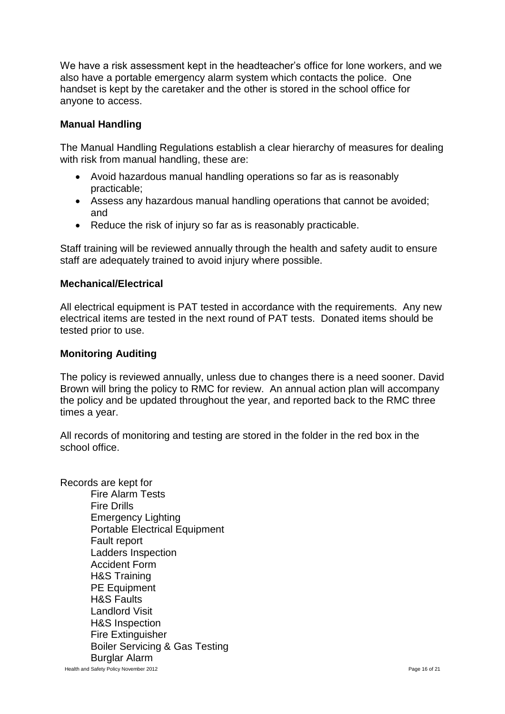We have a risk assessment kept in the headteacher's office for lone workers, and we also have a portable emergency alarm system which contacts the police. One handset is kept by the caretaker and the other is stored in the school office for anyone to access.

### **Manual Handling**

The Manual Handling Regulations establish a clear hierarchy of measures for dealing with risk from manual handling, these are:

- Avoid hazardous manual handling operations so far as is reasonably practicable;
- Assess any hazardous manual handling operations that cannot be avoided; and
- Reduce the risk of injury so far as is reasonably practicable.

Staff training will be reviewed annually through the health and safety audit to ensure staff are adequately trained to avoid injury where possible.

#### **Mechanical/Electrical**

All electrical equipment is PAT tested in accordance with the requirements. Any new electrical items are tested in the next round of PAT tests. Donated items should be tested prior to use.

#### **Monitoring Auditing**

The policy is reviewed annually, unless due to changes there is a need sooner. David Brown will bring the policy to RMC for review. An annual action plan will accompany the policy and be updated throughout the year, and reported back to the RMC three times a year.

All records of monitoring and testing are stored in the folder in the red box in the school office.

Records are kept for Fire Alarm Tests Fire Drills Emergency Lighting Portable Electrical Equipment Fault report Ladders Inspection Accident Form H&S Training PE Equipment H&S Faults Landlord Visit H&S Inspection Fire Extinguisher Boiler Servicing & Gas Testing Burglar Alarm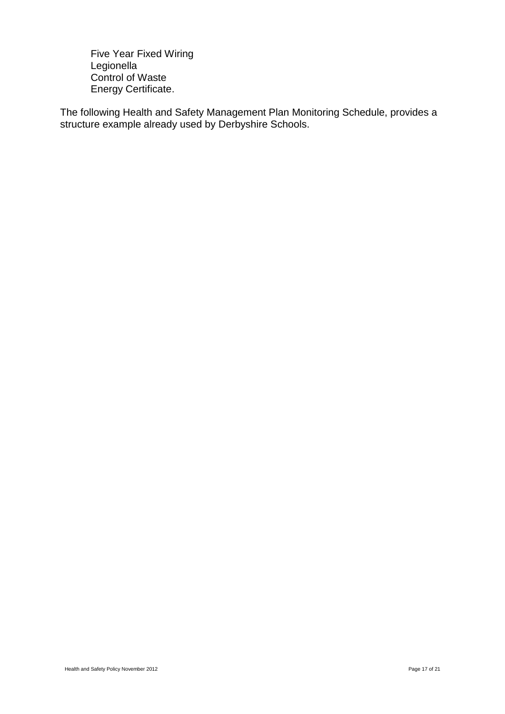Five Year Fixed Wiring Legionella Control of Waste Energy Certificate.

The following Health and Safety Management Plan Monitoring Schedule, provides a structure example already used by Derbyshire Schools.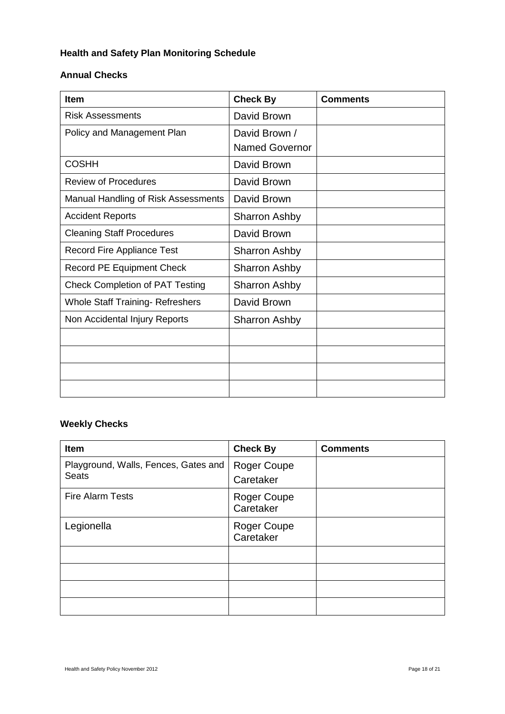# **Health and Safety Plan Monitoring Schedule**

#### **Annual Checks**

| <b>Item</b>                             | <b>Check By</b>       | <b>Comments</b> |
|-----------------------------------------|-----------------------|-----------------|
| <b>Risk Assessments</b>                 | David Brown           |                 |
| Policy and Management Plan              | David Brown /         |                 |
|                                         | <b>Named Governor</b> |                 |
| <b>COSHH</b>                            | David Brown           |                 |
| <b>Review of Procedures</b>             | David Brown           |                 |
| Manual Handling of Risk Assessments     | David Brown           |                 |
| <b>Accident Reports</b>                 | <b>Sharron Ashby</b>  |                 |
| <b>Cleaning Staff Procedures</b>        | David Brown           |                 |
| <b>Record Fire Appliance Test</b>       | Sharron Ashby         |                 |
| <b>Record PE Equipment Check</b>        | <b>Sharron Ashby</b>  |                 |
| <b>Check Completion of PAT Testing</b>  | Sharron Ashby         |                 |
| <b>Whole Staff Training- Refreshers</b> | David Brown           |                 |
| Non Accidental Injury Reports           | <b>Sharron Ashby</b>  |                 |
|                                         |                       |                 |
|                                         |                       |                 |
|                                         |                       |                 |
|                                         |                       |                 |

# **Weekly Checks**

| <b>Item</b>                                          | <b>Check By</b>                 | <b>Comments</b> |
|------------------------------------------------------|---------------------------------|-----------------|
| Playground, Walls, Fences, Gates and<br><b>Seats</b> | <b>Roger Coupe</b><br>Caretaker |                 |
| <b>Fire Alarm Tests</b>                              | <b>Roger Coupe</b><br>Caretaker |                 |
| Legionella                                           | Roger Coupe<br>Caretaker        |                 |
|                                                      |                                 |                 |
|                                                      |                                 |                 |
|                                                      |                                 |                 |
|                                                      |                                 |                 |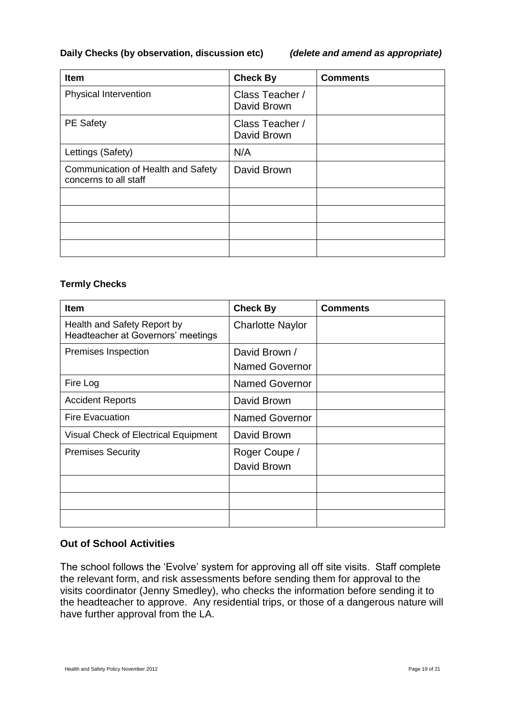#### **Daily Checks (by observation, discussion etc)** *(delete and amend as appropriate)*

| <b>Item</b>                                                 | <b>Check By</b>                | <b>Comments</b> |
|-------------------------------------------------------------|--------------------------------|-----------------|
| <b>Physical Intervention</b>                                | Class Teacher /<br>David Brown |                 |
| <b>PE Safety</b>                                            | Class Teacher /<br>David Brown |                 |
| Lettings (Safety)                                           | N/A                            |                 |
| Communication of Health and Safety<br>concerns to all staff | David Brown                    |                 |
|                                                             |                                |                 |
|                                                             |                                |                 |
|                                                             |                                |                 |
|                                                             |                                |                 |

#### **Termly Checks**

| <b>Item</b>                                                       | <b>Check By</b>                        | <b>Comments</b> |
|-------------------------------------------------------------------|----------------------------------------|-----------------|
| Health and Safety Report by<br>Headteacher at Governors' meetings | <b>Charlotte Naylor</b>                |                 |
| Premises Inspection                                               | David Brown /<br><b>Named Governor</b> |                 |
| Fire Log                                                          | <b>Named Governor</b>                  |                 |
| <b>Accident Reports</b>                                           | David Brown                            |                 |
| <b>Fire Evacuation</b>                                            | <b>Named Governor</b>                  |                 |
| Visual Check of Electrical Equipment                              | David Brown                            |                 |
| <b>Premises Security</b>                                          | Roger Coupe /<br>David Brown           |                 |
|                                                                   |                                        |                 |
|                                                                   |                                        |                 |
|                                                                   |                                        |                 |

#### **Out of School Activities**

The school follows the 'Evolve' system for approving all off site visits. Staff complete the relevant form, and risk assessments before sending them for approval to the visits coordinator (Jenny Smedley), who checks the information before sending it to the headteacher to approve. Any residential trips, or those of a dangerous nature will have further approval from the LA.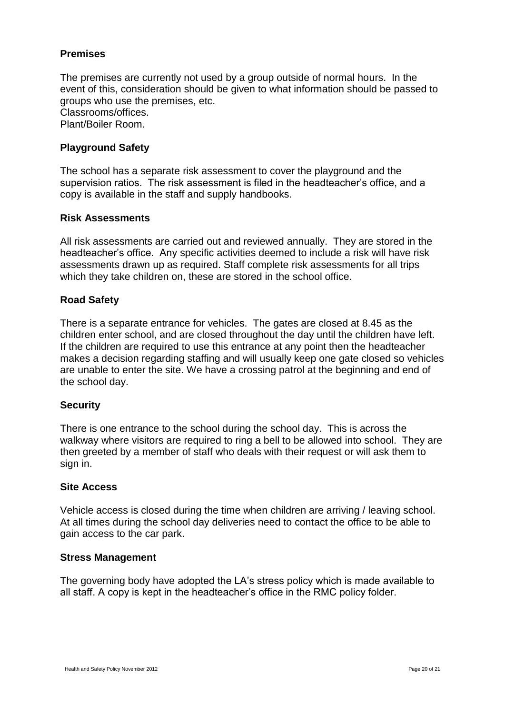#### **Premises**

The premises are currently not used by a group outside of normal hours. In the event of this, consideration should be given to what information should be passed to groups who use the premises, etc. Classrooms/offices. Plant/Boiler Room.

#### **Playground Safety**

The school has a separate risk assessment to cover the playground and the supervision ratios. The risk assessment is filed in the headteacher's office, and a copy is available in the staff and supply handbooks.

#### **Risk Assessments**

All risk assessments are carried out and reviewed annually. They are stored in the headteacher's office. Any specific activities deemed to include a risk will have risk assessments drawn up as required. Staff complete risk assessments for all trips which they take children on, these are stored in the school office.

#### **Road Safety**

There is a separate entrance for vehicles. The gates are closed at 8.45 as the children enter school, and are closed throughout the day until the children have left. If the children are required to use this entrance at any point then the headteacher makes a decision regarding staffing and will usually keep one gate closed so vehicles are unable to enter the site. We have a crossing patrol at the beginning and end of the school day.

#### **Security**

There is one entrance to the school during the school day. This is across the walkway where visitors are required to ring a bell to be allowed into school. They are then greeted by a member of staff who deals with their request or will ask them to sign in.

#### **Site Access**

Vehicle access is closed during the time when children are arriving / leaving school. At all times during the school day deliveries need to contact the office to be able to gain access to the car park.

#### **Stress Management**

The governing body have adopted the LA's stress policy which is made available to all staff. A copy is kept in the headteacher's office in the RMC policy folder.